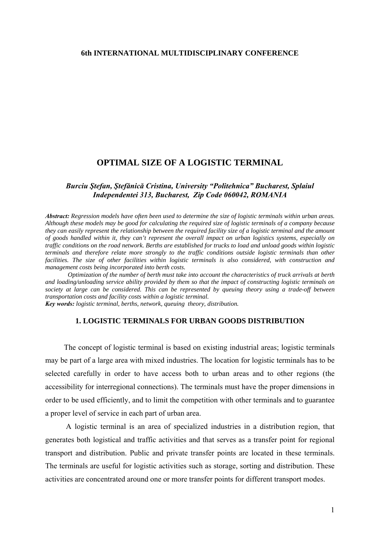### **6th INTERNATIONAL MULTIDISCIPLINARY CONFERENCE**

# **OPTIMAL SIZE OF A LOGISTIC TERMINAL**

## *Burciu Ştefan, Ştefănică Cristina, University "Politehnica" Bucharest, Splaiul Independentei 313, Bucharest, Zip Code 060042, ROMANIA*

*Abstract: Regression models have often been used to determine the size of logistic terminals within urban areas. Although these models may be good for calculating the required size of logistic terminals of a company because they can easily represent the relationship between the required facility size of a logistic terminal and the amount of goods handled within it, they can't represent the overall impact on urban logistics systems, especially on traffic conditions on the road network. Berths are established for trucks to load and unload goods within logistic terminals and therefore relate more strongly to the traffic conditions outside logistic terminals than other facilities. The size of other facilities within logistic terminals is also considered, with construction and management costs being incorporated into berth costs.* 

 *Optimization of the number of berth must take into account the characteristics of truck arrivals at berth and loading/unloading service ability provided by them so that the impact of constructing logistic terminals on society at large can be considered. This can be represented by queuing theory using a trade-off between transportation costs and facility costs within a logistic terminal. Key words: logistic terminal, berths, network, queuing theory, distribution.*

### **1. LOGISTIC TERMINALS FOR URBAN GOODS DISTRIBUTION**

The concept of logistic terminal is based on existing industrial areas; logistic terminals may be part of a large area with mixed industries. The location for logistic terminals has to be selected carefully in order to have access both to urban areas and to other regions (the accessibility for interregional connections). The terminals must have the proper dimensions in order to be used efficiently, and to limit the competition with other terminals and to guarantee a proper level of service in each part of urban area.

 A logistic terminal is an area of specialized industries in a distribution region, that generates both logistical and traffic activities and that serves as a transfer point for regional transport and distribution. Public and private transfer points are located in these terminals. The terminals are useful for logistic activities such as storage, sorting and distribution. These activities are concentrated around one or more transfer points for different transport modes.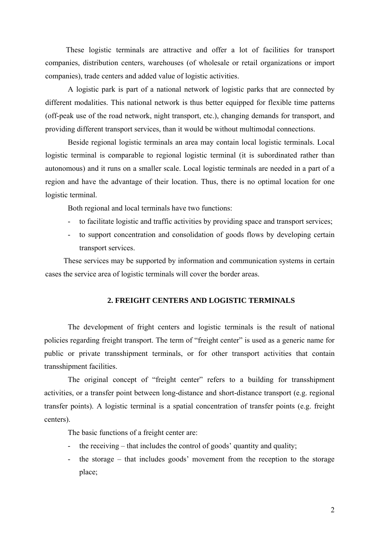These logistic terminals are attractive and offer a lot of facilities for transport companies, distribution centers, warehouses (of wholesale or retail organizations or import companies), trade centers and added value of logistic activities.

A logistic park is part of a national network of logistic parks that are connected by different modalities. This national network is thus better equipped for flexible time patterns (off-peak use of the road network, night transport, etc.), changing demands for transport, and providing different transport services, than it would be without multimodal connections.

Beside regional logistic terminals an area may contain local logistic terminals. Local logistic terminal is comparable to regional logistic terminal (it is subordinated rather than autonomous) and it runs on a smaller scale. Local logistic terminals are needed in a part of a region and have the advantage of their location. Thus, there is no optimal location for one logistic terminal.

Both regional and local terminals have two functions:

- to facilitate logistic and traffic activities by providing space and transport services;
- to support concentration and consolidation of goods flows by developing certain transport services.

These services may be supported by information and communication systems in certain cases the service area of logistic terminals will cover the border areas.

#### **2. FREIGHT CENTERS AND LOGISTIC TERMINALS**

The development of fright centers and logistic terminals is the result of national policies regarding freight transport. The term of "freight center" is used as a generic name for public or private transshipment terminals, or for other transport activities that contain transshipment facilities.

The original concept of "freight center" refers to a building for transshipment activities, or a transfer point between long-distance and short-distance transport (e.g. regional transfer points). A logistic terminal is a spatial concentration of transfer points (e.g. freight centers).

The basic functions of a freight center are:

- the receiving that includes the control of goods' quantity and quality;
- the storage that includes goods' movement from the reception to the storage place;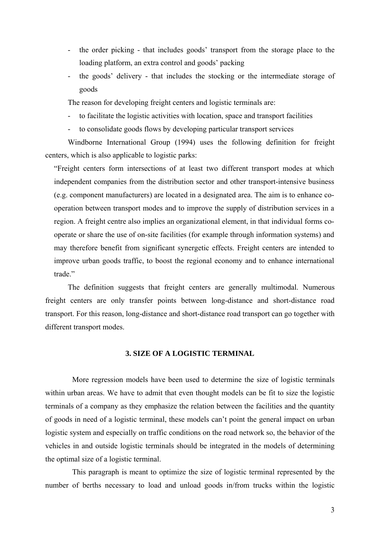- the order picking that includes goods' transport from the storage place to the loading platform, an extra control and goods' packing
- the goods' delivery that includes the stocking or the intermediate storage of goods

The reason for developing freight centers and logistic terminals are:

- to facilitate the logistic activities with location, space and transport facilities
- to consolidate goods flows by developing particular transport services

Windborne International Group (1994) uses the following definition for freight centers, which is also applicable to logistic parks:

"Freight centers form intersections of at least two different transport modes at which independent companies from the distribution sector and other transport-intensive business (e.g. component manufacturers) are located in a designated area. The aim is to enhance cooperation between transport modes and to improve the supply of distribution services in a region. A freight centre also implies an organizational element, in that individual forms cooperate or share the use of on-site facilities (for example through information systems) and may therefore benefit from significant synergetic effects. Freight centers are intended to improve urban goods traffic, to boost the regional economy and to enhance international trade."

The definition suggests that freight centers are generally multimodal. Numerous freight centers are only transfer points between long-distance and short-distance road transport. For this reason, long-distance and short-distance road transport can go together with different transport modes.

# **3. SIZE OF A LOGISTIC TERMINAL**

More regression models have been used to determine the size of logistic terminals within urban areas. We have to admit that even thought models can be fit to size the logistic terminals of a company as they emphasize the relation between the facilities and the quantity of goods in need of a logistic terminal, these models can't point the general impact on urban logistic system and especially on traffic conditions on the road network so, the behavior of the vehicles in and outside logistic terminals should be integrated in the models of determining the optimal size of a logistic terminal.

This paragraph is meant to optimize the size of logistic terminal represented by the number of berths necessary to load and unload goods in/from trucks within the logistic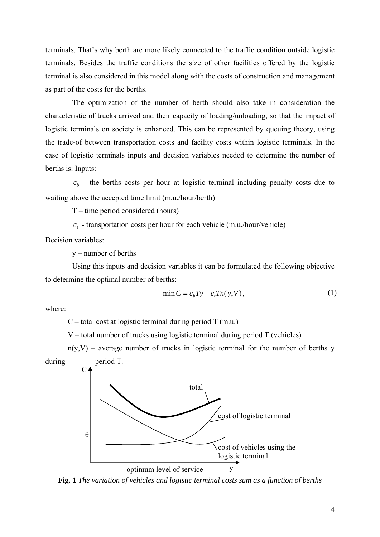terminals. That's why berth are more likely connected to the traffic condition outside logistic terminals. Besides the traffic conditions the size of other facilities offered by the logistic terminal is also considered in this model along with the costs of construction and management as part of the costs for the berths.

The optimization of the number of berth should also take in consideration the characteristic of trucks arrived and their capacity of loading/unloading, so that the impact of logistic terminals on society is enhanced. This can be represented by queuing theory, using the trade-of between transportation costs and facility costs within logistic terminals. In the case of logistic terminals inputs and decision variables needed to determine the number of berths is: Inputs:

 $c<sub>b</sub>$  - the berths costs per hour at logistic terminal including penalty costs due to waiting above the accepted time limit (m.u./hour/berth)

T – time period considered (hours)

 $c<sub>t</sub>$  - transportation costs per hour for each vehicle (m.u./hour/vehicle)

Decision variables:

y – number of berths

Using this inputs and decision variables it can be formulated the following objective to determine the optimal number of berths:

$$
\min C = c_b T y + c_t T n(y, V),\tag{1}
$$

where:

 $C$  – total cost at logistic terminal during period T (m.u.)

 $V$  – total number of trucks using logistic terminal during period  $T$  (vehicles)

 $C<sub>4</sub>$  $n(y, V)$  – average number of trucks in logistic terminal for the number of berths y during period T.



**Fig. 1** *The variation of vehicles and logistic terminal costs sum as a function of berths*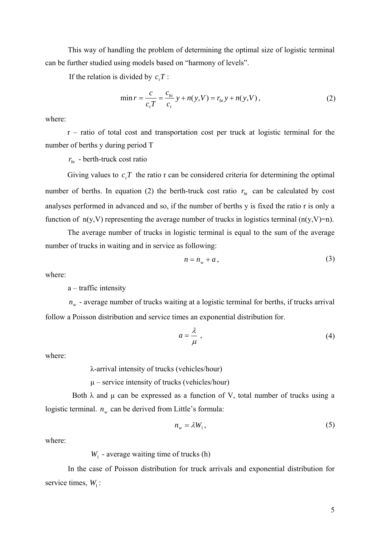This way of handling the problem of determining the optimal size of logistic terminal can be further studied using models based on "harmony of levels".

If the relation is divided by  $c<sub>i</sub>T$ :

$$
\min r = \frac{c}{c_t T} = \frac{c_{bi}}{c_t} y + n(y, V) = r_{bi} y + n(y, V) , \qquad (2)
$$

where:

r – ratio of total cost and transportation cost per truck at logistic terminal for the number of berths y during period T

 $r_{bt}$  - berth-truck cost ratio

Giving values to  $c<sub>i</sub>T$  the ratio r can be considered criteria for determining the optimal number of berths. In equation (2) the berth-truck cost ratio  $r<sub>bt</sub>$  can be calculated by cost analyses performed in advanced and so, if the number of berths y is fixed the ratio r is only a function of  $n(y, V)$  representing the average number of trucks in logistics terminal  $(n(y, V)=n)$ .

The average number of trucks in logistic terminal is equal to the sum of the average number of trucks in waiting and in service as following:

$$
n = n_w + a \,,\tag{3}
$$

where:

a – traffic intensity

 $n_w$  - average number of trucks waiting at a logistic terminal for berths, if trucks arrival follow a Poisson distribution and service times an exponential distribution for.

$$
a = \frac{\lambda}{\mu} \tag{4}
$$

where:

λ-arrival intensity of trucks (vehicles/hour)

 $\mu$  – service intensity of trucks (vehicles/hour)

Both  $\lambda$  and  $\mu$  can be expressed as a function of V, total number of trucks using a logistic terminal.  $n_w$  can be derived from Little's formula:

$$
n_w = \lambda W_1,\tag{5}
$$

where:

 $W<sub>1</sub>$  - average waiting time of trucks (h)

In the case of Poisson distribution for truck arrivals and exponential distribution for service times,  $W_1$ :